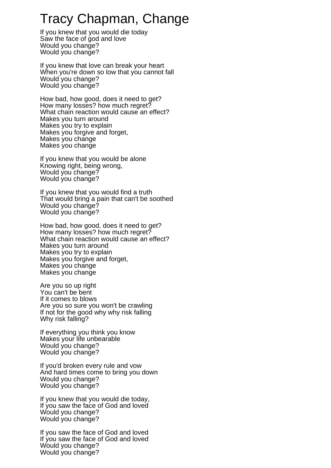## Tracy Chapman, Change

If you knew that you would die today Saw the face of god and love Would you change? Would you change?

If you knew that love can break your heart When you're down so low that you cannot fall Would you change? Would you change?

How bad, how good, does it need to get? How many losses? how much regret? What chain reaction would cause an effect? Makes you turn around Makes you try to explain Makes you forgive and forget, Makes you change Makes you change

If you knew that you would be alone Knowing right, being wrong, Would you change? Would you change?

If you knew that you would find a truth That would bring a pain that can't be soothed Would you change? Would you change?

How bad, how good, does it need to get? How many losses? how much regret? What chain reaction would cause an effect? Makes you turn around Makes you try to explain Makes you forgive and forget, Makes you change Makes you change

Are you so up right You can't be bent If it comes to blows Are you so sure you won't be crawling If not for the good why why risk falling Why risk falling?

If everything you think you know Makes your life unbearable Would you change? Would you change?

If you'd broken every rule and vow And hard times come to bring you down Would you change? Would you change?

If you knew that you would die today, If you saw the face of God and loved Would you change? Would you change?

If you saw the face of God and loved If you saw the face of God and loved Would you change? Would you change?